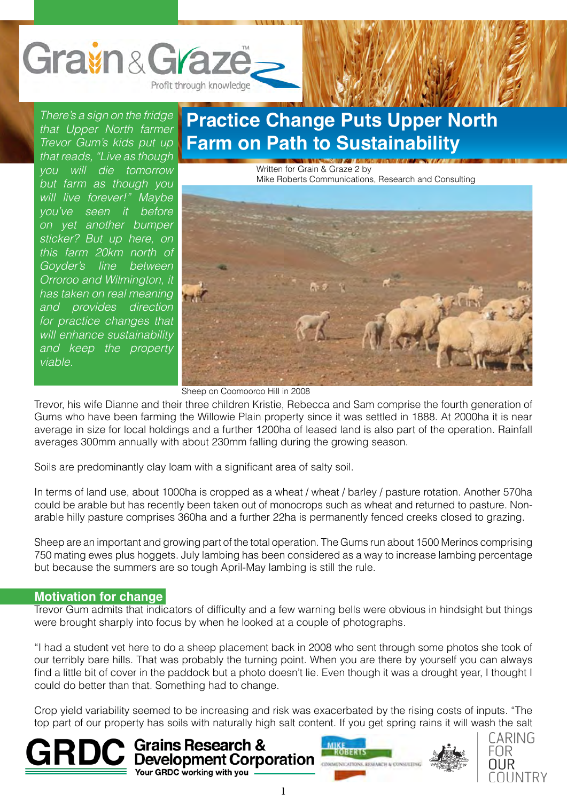

*There's a sign on the fridge that Upper North farmer Trevor Gum's kids put up that reads, "Live as though you will die tomorrow but farm as though you will live forever!" Maybe you've seen it before on yet another bumper sticker? But up here, on this farm 20km north of Goyder's line between Orroroo and Wilmington, it has taken on real meaning and provides direction for practice changes that will enhance sustainability and keep the property viable.*

### **Practice Change Puts Upper North Farm on Path to Sustainability**

Written for Grain & Graze 2 by Mike Roberts Communications, Research and Consulting



Sheep on Coomooroo Hill in 2008

Trevor, his wife Dianne and their three children Kristie, Rebecca and Sam comprise the fourth generation of Gums who have been farming the Willowie Plain property since it was settled in 1888. At 2000ha it is near average in size for local holdings and a further 1200ha of leased land is also part of the operation. Rainfall averages 300mm annually with about 230mm falling during the growing season.

Soils are predominantly clay loam with a significant area of salty soil.

In terms of land use, about 1000ha is cropped as a wheat / wheat / barley / pasture rotation. Another 570ha could be arable but has recently been taken out of monocrops such as wheat and returned to pasture. Nonarable hilly pasture comprises 360ha and a further 22ha is permanently fenced creeks closed to grazing.

Sheep are an important and growing part of the total operation. The Gums run about 1500 Merinos comprising 750 mating ewes plus hoggets. July lambing has been considered as a way to increase lambing percentage but because the summers are so tough April-May lambing is still the rule.

#### **Motivation for change**

Trevor Gum admits that indicators of difficulty and a few warning bells were obvious in hindsight but things were brought sharply into focus by when he looked at a couple of photographs.

"I had a student vet here to do a sheep placement back in 2008 who sent through some photos she took of our terribly bare hills. That was probably the turning point. When you are there by yourself you can always find a little bit of cover in the paddock but a photo doesn't lie. Even though it was a drought year, I thought I could do better than that. Something had to change.

Crop yield variability seemed to be increasing and risk was exacerbated by the rising costs of inputs. "The top part of our property has soils with naturally high salt content. If you get spring rains it will wash the salt





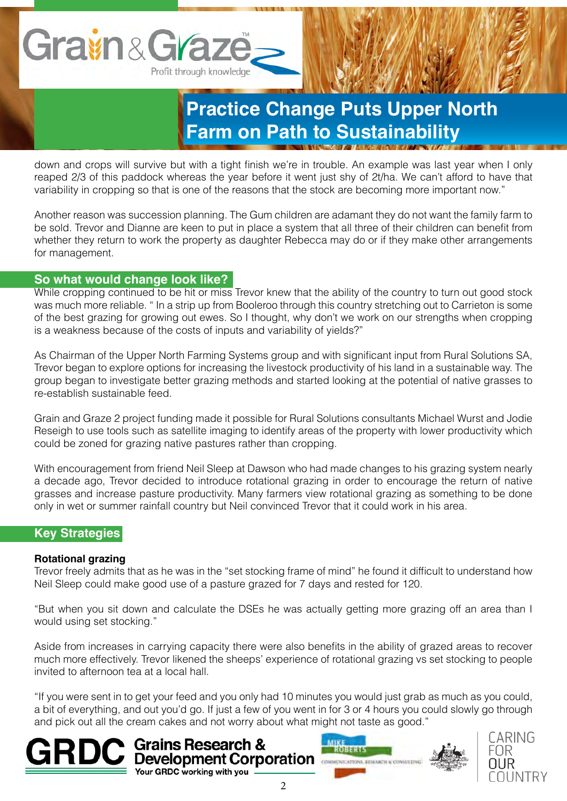

down and crops will survive but with a tight finish we're in trouble. An example was last year when I only reaped 2/3 of this paddock whereas the year before it went just shy of 2t/ha. We can't afford to have that variability in cropping so that is one of the reasons that the stock are becoming more important now."

Another reason was succession planning. The Gum children are adamant they do not want the family farm to be sold. Trevor and Dianne are keen to put in place a system that all three of their children can benefit from whether they return to work the property as daughter Rebecca may do or if they make other arrangements for management.

### **So what would change look like?**

While cropping continued to be hit or miss Trevor knew that the ability of the country to turn out good stock was much more reliable. " In a strip up from Booleroo through this country stretching out to Carrieton is some of the best grazing for growing out ewes. So I thought, why don't we work on our strengths when cropping is a weakness because of the costs of inputs and variability of yields?"

As Chairman of the Upper North Farming Systems group and with significant input from Rural Solutions SA, Trevor began to explore options for increasing the livestock productivity of his land in a sustainable way. The group began to investigate better grazing methods and started looking at the potential of native grasses to re-establish sustainable feed.

Grain and Graze 2 project funding made it possible for Rural Solutions consultants Michael Wurst and Jodie Reseigh to use tools such as satellite imaging to identify areas of the property with lower productivity which could be zoned for grazing native pastures rather than cropping.

With encouragement from friend Neil Sleep at Dawson who had made changes to his grazing system nearly a decade ago, Trevor decided to introduce rotational grazing in order to encourage the return of native grasses and increase pasture productivity. Many farmers view rotational grazing as something to be done only in wet or summer rainfall country but Neil convinced Trevor that it could work in his area.

#### **Key Strategies**

#### **Rotational grazing**

Trevor freely admits that as he was in the "set stocking frame of mind" he found it difficult to understand how Neil Sleep could make good use of a pasture grazed for 7 days and rested for 120.

"But when you sit down and calculate the DSEs he was actually getting more grazing off an area than I would using set stocking."

Aside from increases in carrying capacity there were also benefits in the ability of grazed areas to recover much more effectively. Trevor likened the sheeps' experience of rotational grazing vs set stocking to people invited to afternoon tea at a local hall.

"If you were sent in to get your feed and you only had 10 minutes you would just grab as much as you could, a bit of everything, and out you'd go. If just a few of you went in for 3 or 4 hours you could slowly go through and pick out all the cream cakes and not worry about what might not taste as good."







Your GRDC working with you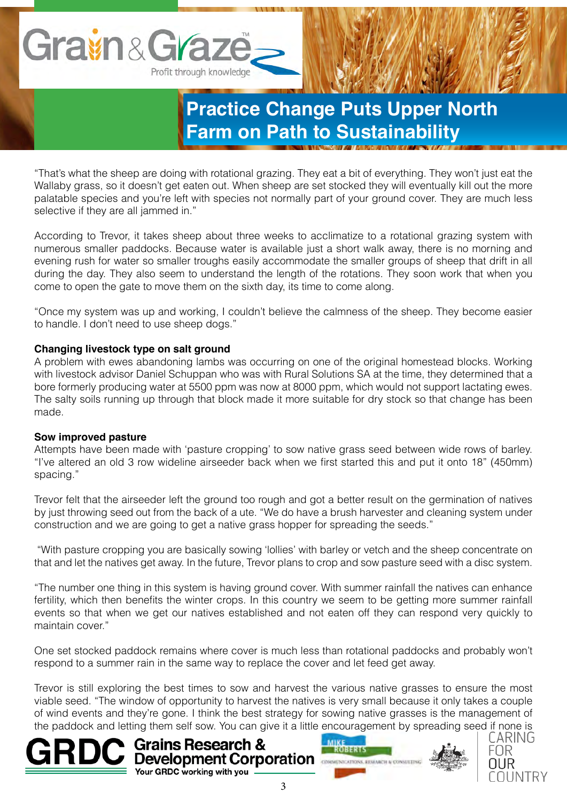

"That's what the sheep are doing with rotational grazing. They eat a bit of everything. They won't just eat the Wallaby grass, so it doesn't get eaten out. When sheep are set stocked they will eventually kill out the more palatable species and you're left with species not normally part of your ground cover. They are much less selective if they are all jammed in."

According to Trevor, it takes sheep about three weeks to acclimatize to a rotational grazing system with numerous smaller paddocks. Because water is available just a short walk away, there is no morning and evening rush for water so smaller troughs easily accommodate the smaller groups of sheep that drift in all during the day. They also seem to understand the length of the rotations. They soon work that when you come to open the gate to move them on the sixth day, its time to come along.

"Once my system was up and working, I couldn't believe the calmness of the sheep. They become easier to handle. I don't need to use sheep dogs."

#### **Changing livestock type on salt ground**

A problem with ewes abandoning lambs was occurring on one of the original homestead blocks. Working with livestock advisor Daniel Schuppan who was with Rural Solutions SA at the time, they determined that a bore formerly producing water at 5500 ppm was now at 8000 ppm, which would not support lactating ewes. The salty soils running up through that block made it more suitable for dry stock so that change has been made.

#### **Sow improved pasture**

Attempts have been made with 'pasture cropping' to sow native grass seed between wide rows of barley. "I've altered an old 3 row wideline airseeder back when we first started this and put it onto 18" (450mm) spacing."

Trevor felt that the airseeder left the ground too rough and got a better result on the germination of natives by just throwing seed out from the back of a ute. "We do have a brush harvester and cleaning system under construction and we are going to get a native grass hopper for spreading the seeds."

 "With pasture cropping you are basically sowing 'lollies' with barley or vetch and the sheep concentrate on that and let the natives get away. In the future, Trevor plans to crop and sow pasture seed with a disc system.

"The number one thing in this system is having ground cover. With summer rainfall the natives can enhance fertility, which then benefits the winter crops. In this country we seem to be getting more summer rainfall events so that when we get our natives established and not eaten off they can respond very quickly to maintain cover."

One set stocked paddock remains where cover is much less than rotational paddocks and probably won't respond to a summer rain in the same way to replace the cover and let feed get away.

Trevor is still exploring the best times to sow and harvest the various native grasses to ensure the most viable seed. "The window of opportunity to harvest the natives is very small because it only takes a couple of wind events and they're gone. I think the best strategy for sowing native grasses is the management of the paddock and letting them self sow. You can give it a little encouragement by spreading seed if none is







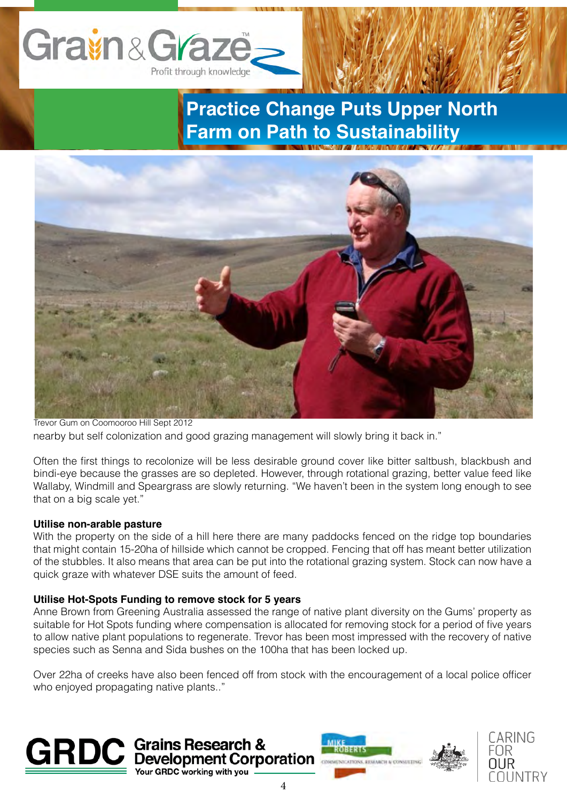



nearby but self colonization and good grazing management will slowly bring it back in." Trevor Gum on Coomooroo Hill Sept 2012

Often the first things to recolonize will be less desirable ground cover like bitter saltbush, blackbush and bindi-eye because the grasses are so depleted. However, through rotational grazing, better value feed like Wallaby, Windmill and Speargrass are slowly returning. "We haven't been in the system long enough to see that on a big scale yet."

#### **Utilise non-arable pasture**

With the property on the side of a hill here there are many paddocks fenced on the ridge top boundaries that might contain 15-20ha of hillside which cannot be cropped. Fencing that off has meant better utilization of the stubbles. It also means that area can be put into the rotational grazing system. Stock can now have a quick graze with whatever DSE suits the amount of feed.

#### **Utilise Hot-Spots Funding to remove stock for 5 years**

**GRDC** working with you

Anne Brown from Greening Australia assessed the range of native plant diversity on the Gums' property as suitable for Hot Spots funding where compensation is allocated for removing stock for a period of five years to allow native plant populations to regenerate. Trevor has been most impressed with the recovery of native species such as Senna and Sida bushes on the 100ha that has been locked up.

Over 22ha of creeks have also been fenced off from stock with the encouragement of a local police officer who enjoyed propagating native plants.."





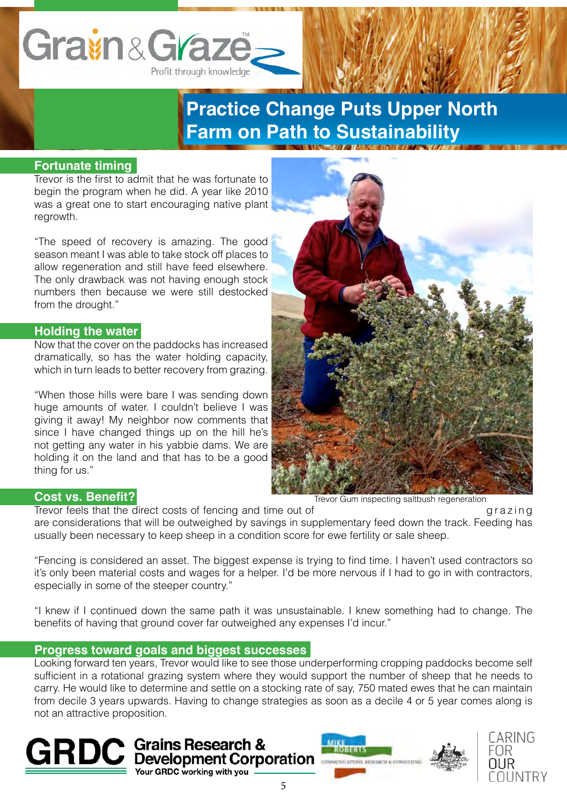# Gravin & Graze Profit through knowledge

**Practice Change Puts Upper North Farm on Path to Sustainability**

### **Fortunate timing**

Trevor is the first to admit that he was fortunate to begin the program when he did. A year like 2010 was a great one to start encouraging native plant regrowth.

"The speed of recovery is amazing. The good season meant I was able to take stock off places to allow regeneration and still have feed elsewhere. The only drawback was not having enough stock numbers then because we were still destocked from the drought."

#### **Holding the water**

Now that the cover on the paddocks has increased dramatically, so has the water holding capacity, which in turn leads to better recovery from grazing.

"When those hills were bare I was sending down huge amounts of water. I couldn't believe I was giving it away! My neighbor now comments that since I have changed things up on the hill he's not getting any water in his yabbie dams. We are holding it on the land and that has to be a good thing for us."



#### **Cost vs. Benefit?**

Trevor feels that the direct costs of fencing and time out of g razing

are considerations that will be outweighed by savings in supplementary feed down the track. Feeding has usually been necessary to keep sheep in a condition score for ewe fertility or sale sheep.

"Fencing is considered an asset. The biggest expense is trying to find time. I haven't used contractors so it's only been material costs and wages for a helper. I'd be more nervous if I had to go in with contractors, especially in some of the steeper country."

"I knew if I continued down the same path it was unsustainable. I knew something had to change. The benefits of having that ground cover far outweighed any expenses I'd incur."

#### **Progress toward goals and biggest successes**

Looking forward ten years, Trevor would like to see those underperforming cropping paddocks become self sufficient in a rotational grazing system where they would support the number of sheep that he needs to carry. He would like to determine and settle on a stocking rate of say, 750 mated ewes that he can maintain from decile 3 years upwards. Having to change strategies as soon as a decile 4 or 5 year comes along is not an attractive proposition.





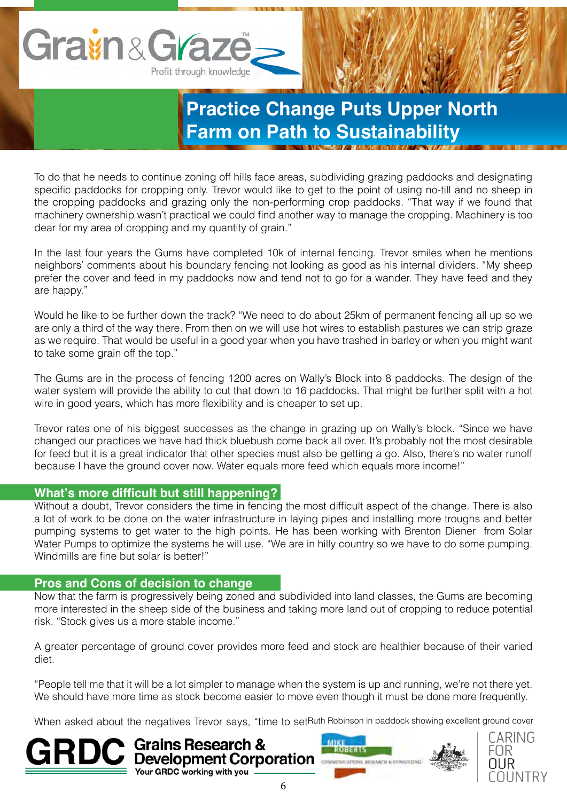

To do that he needs to continue zoning off hills face areas, subdividing grazing paddocks and designating specific paddocks for cropping only. Trevor would like to get to the point of using no-till and no sheep in the cropping paddocks and grazing only the non-performing crop paddocks. "That way if we found that machinery ownership wasn't practical we could find another way to manage the cropping. Machinery is too dear for my area of cropping and my quantity of grain."

In the last four years the Gums have completed 10k of internal fencing. Trevor smiles when he mentions neighbors' comments about his boundary fencing not looking as good as his internal dividers. "My sheep prefer the cover and feed in my paddocks now and tend not to go for a wander. They have feed and they are happy."

Would he like to be further down the track? "We need to do about 25km of permanent fencing all up so we are only a third of the way there. From then on we will use hot wires to establish pastures we can strip graze as we require. That would be useful in a good year when you have trashed in barley or when you might want to take some grain off the top."

The Gums are in the process of fencing 1200 acres on Wally's Block into 8 paddocks. The design of the water system will provide the ability to cut that down to 16 paddocks. That might be further split with a hot wire in good years, which has more flexibility and is cheaper to set up.

Trevor rates one of his biggest successes as the change in grazing up on Wally's block. "Since we have changed our practices we have had thick bluebush come back all over. It's probably not the most desirable for feed but it is a great indicator that other species must also be getting a go. Also, there's no water runoff because I have the ground cover now. Water equals more feed which equals more income!"

#### **What's more difficult but still happening?**

Without a doubt, Trevor considers the time in fencing the most difficult aspect of the change. There is also a lot of work to be done on the water infrastructure in laying pipes and installing more troughs and better pumping systems to get water to the high points. He has been working with Brenton Diener from Solar Water Pumps to optimize the systems he will use. "We are in hilly country so we have to do some pumping. Windmills are fine but solar is better!"

#### **Pros and Cons of decision to change**

Your GRDC working with you

Now that the farm is progressively being zoned and subdivided into land classes, the Gums are becoming more interested in the sheep side of the business and taking more land out of cropping to reduce potential risk. "Stock gives us a more stable income."

A greater percentage of ground cover provides more feed and stock are healthier because of their varied diet.

"People tell me that it will be a lot simpler to manage when the system is up and running, we're not there yet. We should have more time as stock become easier to move even though it must be done more frequently.

When asked about the negatives Trevor says, "time to setRuth Robinson in paddock showing excellent ground cover





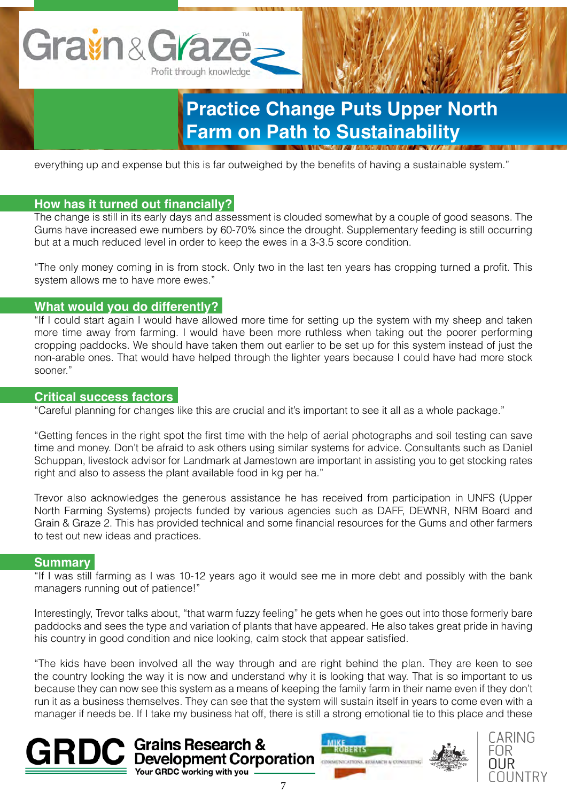

everything up and expense but this is far outweighed by the benefits of having a sustainable system."

### **How has it turned out financially?**

The change is still in its early days and assessment is clouded somewhat by a couple of good seasons. The Gums have increased ewe numbers by 60-70% since the drought. Supplementary feeding is still occurring but at a much reduced level in order to keep the ewes in a 3-3.5 score condition.

"The only money coming in is from stock. Only two in the last ten years has cropping turned a profit. This system allows me to have more ewes."

### **What would you do differently?**

"If I could start again I would have allowed more time for setting up the system with my sheep and taken more time away from farming. I would have been more ruthless when taking out the poorer performing cropping paddocks. We should have taken them out earlier to be set up for this system instead of just the non-arable ones. That would have helped through the lighter years because I could have had more stock sooner."

### **Critical success factors**

"Careful planning for changes like this are crucial and it's important to see it all as a whole package."

"Getting fences in the right spot the first time with the help of aerial photographs and soil testing can save time and money. Don't be afraid to ask others using similar systems for advice. Consultants such as Daniel Schuppan, livestock advisor for Landmark at Jamestown are important in assisting you to get stocking rates right and also to assess the plant available food in kg per ha."

Trevor also acknowledges the generous assistance he has received from participation in UNFS (Upper North Farming Systems) projects funded by various agencies such as DAFF, DEWNR, NRM Board and Grain & Graze 2. This has provided technical and some financial resources for the Gums and other farmers to test out new ideas and practices.

#### **Summary**

"If I was still farming as I was 10-12 years ago it would see me in more debt and possibly with the bank managers running out of patience!"

Interestingly, Trevor talks about, "that warm fuzzy feeling" he gets when he goes out into those formerly bare paddocks and sees the type and variation of plants that have appeared. He also takes great pride in having his country in good condition and nice looking, calm stock that appear satisfied.

"The kids have been involved all the way through and are right behind the plan. They are keen to see the country looking the way it is now and understand why it is looking that way. That is so important to us because they can now see this system as a means of keeping the family farm in their name even if they don't run it as a business themselves. They can see that the system will sustain itself in years to come even with a manager if needs be. If I take my business hat off, there is still a strong emotional tie to this place and these